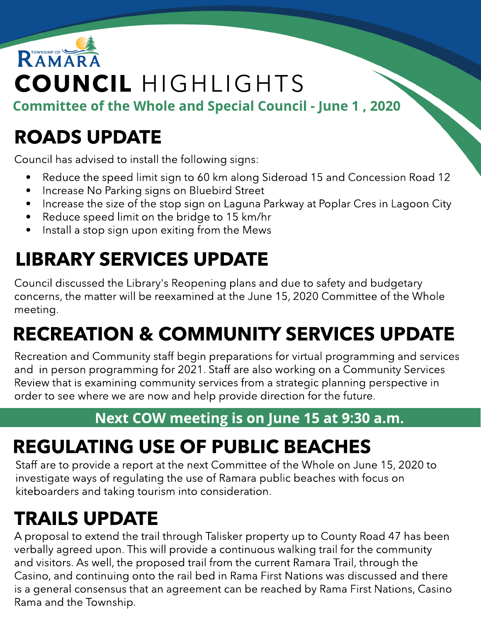# RAMAR COUNCIL HIGHLIGHTS

Committee of the Whole and Special Council - June 1, 2020

### ROADS UPDATE

Council has advised to install the following signs:

- Reduce the speed limit sign to 60 km along Sideroad 15 and Concession Road 12
- Increase No Parking signs on Bluebird Street
- Increase the size of the stop sign on Laguna Parkway at Poplar Cres in Lagoon City
- Reduce speed limit on the bridge to 15 km/hr
- Install a stop sign upon exiting from the Mews

# LIBRARY SERVICES UPDATE

Council discussed the Library's Reopening plans and due to safety and budgetary concerns, the matter will be reexamined at the June 15, 2020 Committee of the Whole meeting.

# RECREATION & COMMUNITY SERVICES UPDATE

Recreation and Community staff begin preparations for virtual programming and services and in person programming for 2021. Staff are also working on a Community Services Review that is examining community services from a strategic planning perspective in order to see where we are now and help provide direction for the future.

#### Next COW meeting is on June 15 at 9:30 a.m.

### REGULATING USE OF PUBLIC BEACHES

Staff are to provide a report at the next Committee of the Whole on June 15, 2020 to investigate ways of regulating the use of Ramara public beaches with focus on kiteboarders and taking tourism into consideration.

# TRAILS UPDATE

A proposal to extend the trail through Talisker property up to County Road 47 has been verbally agreed upon. This will provide a continuous walking trail for the community and visitors. As well, the proposed trail from the current Ramara Trail, through the Casino, and continuing onto the rail bed in Rama First Nations was discussed and there is a general consensus that an agreement can be reached by Rama First Nations, Casino Rama and the Township.